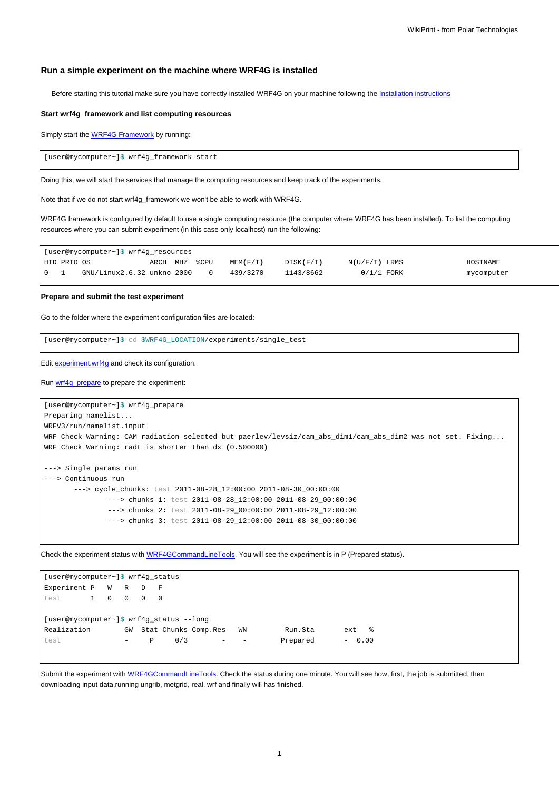# **Run a simple experiment on the machine where WRF4G is installed**

Before starting this tutorial make sure you have correctly installed WRF4G on your machine following the [Installation instructions](https://meteo.unican.es/trac/wiki/WRF4GInstall)

### **Start wrf4g\_framework and list computing resources**

Simply start the **WRF4G Framework** by running:

**[**user@mycomputer~**]**\$ wrf4g\_framework start

Doing this, we will start the services that manage the computing resources and keep track of the experiments.

Note that if we do not start wrf4g\_framework we won't be able to work with WRF4G.

WRF4G framework is configured by default to use a single computing resource (the computer where WRF4G has been installed). To list the computing resources where you can submit experiment (in this case only localhost) run the following:

| [user@mycomputer~]\$ wrf4g_resources |             |                            |          |  |      |                |           |                 |            |
|--------------------------------------|-------------|----------------------------|----------|--|------|----------------|-----------|-----------------|------------|
|                                      | HID PRIO OS |                            | ARCH MHZ |  | %CPU | $MENT$ $(F/T)$ | DISK(F/T) | $N(U/F/T)$ LRMS | HOSTNAME   |
| 101                                  |             | GNU/Linux2.6.32 unkno 2000 |          |  |      | 439/3270       | 1143/8662 | $0/1/1$ FORK    | mycomputer |

### **Prepare and submit the test experiment**

Go to the folder where the experiment configuration files are located:

**[**user@mycomputer~**]**\$ cd \$WRF4G\_LOCATION/experiments/single\_test

Edit [experiment.wrf4g](https://meteo.unican.es/trac/wiki/WRF4Gexperiment_wrf4g) and check its configuration.

## Run [wrf4g\\_prepare](https://meteo.unican.es/trac/wiki/WRF4GCommandLineTools#wrf4g_prepare) to prepare the experiment:

```
[user@mycomputer~]$ wrf4g_prepare
Preparing namelist...
WRFV3/run/namelist.input
WRF Check Warning: CAM radiation selected but paerlev/levsiz/cam_abs_dim1/cam_abs_dim2 was not set. Fixing...
WRF Check Warning: radt is shorter than dx (0.500000)
---> Single params run
---> Continuous run
       ---> cycle_chunks: test 2011-08-28_12:00:00 2011-08-30_00:00:00
               ---> chunks 1: test 2011-08-28_12:00:00 2011-08-29_00:00:00
               ---> chunks 2: test 2011-08-29_00:00:00 2011-08-29_12:00:00
               ---> chunks 3: test 2011-08-29_12:00:00 2011-08-30_00:00:00
```
Check the experiment status with [WRF4GCommandLineTools](https://meteo.unican.es/trac/wiki/WRF4GCommandLineTools#wrf4g_status). You will see the experiment is in P (Prepared status).

| [user@mycomputer~]\$ wrf4g_status        |  |  |     |   |                      |  |                                     |          |            |  |
|------------------------------------------|--|--|-----|---|----------------------|--|-------------------------------------|----------|------------|--|
| Experiment P W R D F                     |  |  |     |   |                      |  |                                     |          |            |  |
| test 1 0 0 0 0                           |  |  |     |   |                      |  |                                     |          |            |  |
|                                          |  |  |     |   |                      |  |                                     |          |            |  |
| [user@mycomputer~]\$ wrf4q status --lonq |  |  |     |   |                      |  |                                     |          |            |  |
| Realization                              |  |  | GW  |   | Stat Chunks Comp.Res |  | WN                                  | Run.Sta  | $ext \t 8$ |  |
| test                                     |  |  | $-$ | P | 0/3                  |  | $-$<br>$\qquad \qquad \blacksquare$ | Prepared | $-0.00$    |  |
|                                          |  |  |     |   |                      |  |                                     |          |            |  |

Submit the experiment with [WRF4GCommandLineTools](https://meteo.unican.es/trac/wiki/WRF4GCommandLineTools#wrf4g_submit). Check the status during one minute. You will see how, first, the job is submitted, then downloading input data,running ungrib, metgrid, real, wrf and finally will has finished.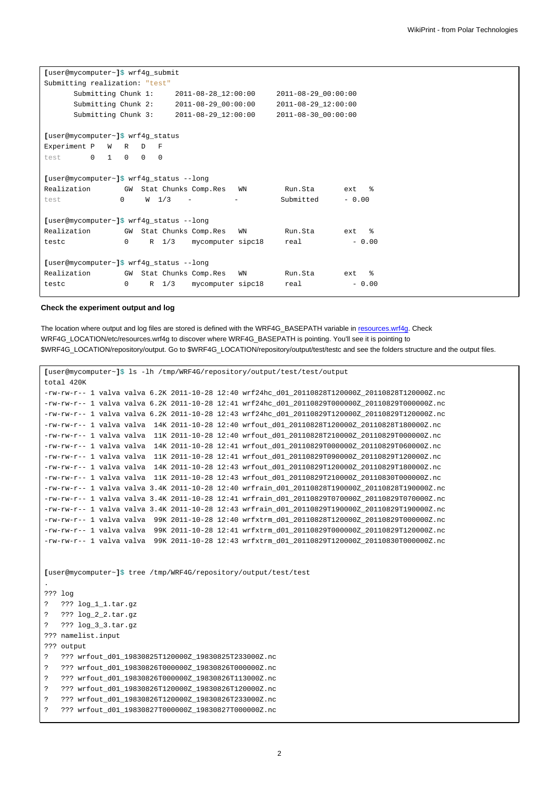| [user@mycomputer~]\$ wrf4g_submit        |          |                      |         |                             |                          |                     |                      |  |  |
|------------------------------------------|----------|----------------------|---------|-----------------------------|--------------------------|---------------------|----------------------|--|--|
| Submitting realization: "test"           |          |                      |         |                             |                          |                     |                      |  |  |
| Submitting Chunk 1:                      |          |                      |         | 2011-08-28 12:00:00         |                          | 2011-08-29_00:00:00 |                      |  |  |
| Submitting Chunk 2:                      |          |                      |         | $2011 - 08 - 29 - 00:00:00$ |                          | 2011-08-29 12:00:00 |                      |  |  |
| Submitting Chunk 3:                      |          |                      |         | 2011-08-29 12:00:00         |                          | 2011-08-30 00:00:00 |                      |  |  |
|                                          |          |                      |         |                             |                          |                     |                      |  |  |
| [user@mycomputer~]\$ wrf4g_status        |          |                      |         |                             |                          |                     |                      |  |  |
| Experiment P<br><b>W</b>                 | R        | D<br>F               |         |                             |                          |                     |                      |  |  |
| $\circ$<br>$\mathbf{1}$<br>test          | $\Omega$ | $\Omega$<br>$\Omega$ |         |                             |                          |                     |                      |  |  |
|                                          |          |                      |         |                             |                          |                     |                      |  |  |
| [user@mycomputer~]\$ wrf4g_status --long |          |                      |         |                             |                          |                     |                      |  |  |
| Realization                              |          |                      |         | GW Stat Chunks Comp.Res     | WN                       | Run.Sta             | $\frac{9}{6}$<br>ext |  |  |
| test                                     | $\Omega$ | W <sub>1/3</sub>     |         |                             | $\overline{\phantom{m}}$ | Submitted           | $-0.00$              |  |  |
|                                          |          |                      |         |                             |                          |                     |                      |  |  |
| [user@mycomputer~]\$ wrf4g_status --long |          |                      |         |                             |                          |                     |                      |  |  |
| Realization                              |          |                      |         | GW Stat Chunks Comp.Res     | WN                       | Run.Sta             | $\frac{9}{2}$<br>ext |  |  |
| testc                                    | $\Omega$ |                      | $R$ 1/3 | mycomputer sipc18           |                          | real                | $-0.00$              |  |  |
|                                          |          |                      |         |                             |                          |                     |                      |  |  |
| [user@mycomputer~]\$ wrf4g_status --long |          |                      |         |                             |                          |                     |                      |  |  |
| Realization                              |          |                      |         | GW Stat Chunks Comp.Res     | WN                       | Run.Sta             | န္<br>ext            |  |  |
| testc                                    | $\Omega$ | $\mathbb{R}$         | 1/3     | mycomputer sipc18           |                          | real                | $-0.00$              |  |  |
|                                          |          |                      |         |                             |                          |                     |                      |  |  |

#### **Check the experiment output and log**

The location where output and log files are stored is defined with the WRF4G\_BASEPATH variable in [resources.wrf4g.](https://meteo.unican.es/trac/wiki/WRF4Gresources_wrf4g) Check WRF4G\_LOCATION/etc/resources.wrf4g to discover where WRF4G\_BASEPATH is pointing. You'll see it is pointing to \$WRF4G\_LOCATION/repository/output. Go to \$WRF4G\_LOCATION/repository/output/test/testc and see the folders structure and the output files.

```
[user@mycomputer~]$ ls -lh /tmp/WRF4G/repository/output/test/test/output
total 420K
-rw-rw-r-- 1 valva valva 6.2K 2011-10-28 12:40 wrf24hc_d01_20110828T120000Z_20110828T120000Z.nc
-rw-rw-r-- 1 valva valva 6.2K 2011-10-28 12:41 wrf24hc_d01_20110829T000000Z_20110829T000000Z.nc
-rw-rw-r-- 1 valva valva 6.2K 2011-10-28 12:43 wrf24hc_d01_20110829T120000Z_20110829T120000Z.nc
-rw-rw-r-- 1 valva valva 14K 2011-10-28 12:40 wrfout_d01_20110828T120000Z_20110828T180000Z.nc
-rw-rw-r-- 1 valva valva 11K 2011-10-28 12:40 wrfout_d01_20110828T210000Z_20110829T000000Z.nc
-rw-rw-r-- 1 valva valva 14K 2011-10-28 12:41 wrfout_d01_20110829T000000Z_20110829T060000Z.nc
-rw-rw-r-- 1 valva valva 11K 2011-10-28 12:41 wrfout_d01_20110829T090000Z_20110829T120000Z.nc
-rw-rw-r-- 1 valva valva 14K 2011-10-28 12:43 wrfout_d01_20110829T120000Z_20110829T180000Z.nc
-rw-rw-r-- 1 valva valva 11K 2011-10-28 12:43 wrfout_d01_20110829T210000Z_20110830T000000Z.nc
-rw-rw-r-- 1 valva valva 3.4K 2011-10-28 12:40 wrfrain_d01_20110828T190000Z_20110828T190000Z.nc
-rw-rw-r-- 1 valva valva 3.4K 2011-10-28 12:41 wrfrain_d01_20110829T070000Z_20110829T070000Z.nc
-rw-rw-r-- 1 valva valva 3.4K 2011-10-28 12:43 wrfrain_d01_20110829T190000Z_20110829T190000Z.nc
-rw-rw-r-- 1 valva valva 99K 2011-10-28 12:40 wrfxtrm_d01_20110828T120000Z_20110829T000000Z.nc
-rw-rw-r-- 1 valva valva 99K 2011-10-28 12:41 wrfxtrm_d01_20110829T000000Z_20110829T120000Z.nc
-rw-rw-r-- 1 valva valva 99K 2011-10-28 12:43 wrfxtrm_d01_20110829T120000Z_20110830T000000Z.nc
[user@mycomputer~]$ tree /tmp/WRF4G/repository/output/test/test
.
??? log
? ??? log_1_1.tar.gz
? ??? log_2_2.tar.gz
? ??? log_3_3.tar.gz
??? namelist.input
??? output
? ??? wrfout_d01_19830825T120000Z_19830825T233000Z.nc
? ??? wrfout_d01_19830826T000000Z_19830826T000000Z.nc
```

```
? ??? wrfout_d01_19830826T000000Z_19830826T113000Z.nc
```

```
? ??? wrfout_d01_19830826T120000Z_19830826T120000Z.nc
```

```
? ??? wrfout_d01_19830826T120000Z_19830826T233000Z.nc
```

```
? ??? wrfout_d01_19830827T000000Z_19830827T000000Z.nc
```